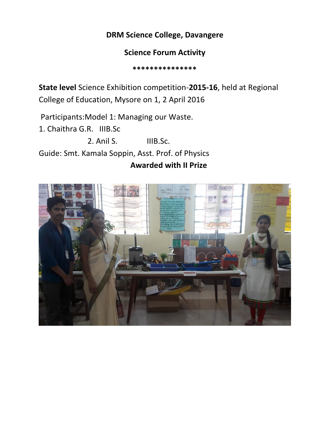## **DRM Science College, Davangere**

### **Science Forum Activity**

 **\*\*\*\*\*\*\*\*\*\*\*\*\*\*\***

**State level** Science Exhibition competition-**2015-16**, held at Regional College of Education, Mysore on 1, 2 April 2016

Participants:Model 1: Managing our Waste.

1. Chaithra G.R. IIIB.Sc

2. Anil S. IIIB.Sc.

Guide: Smt. Kamala Soppin, Asst. Prof. of Physics

### **Awarded with II Prize**

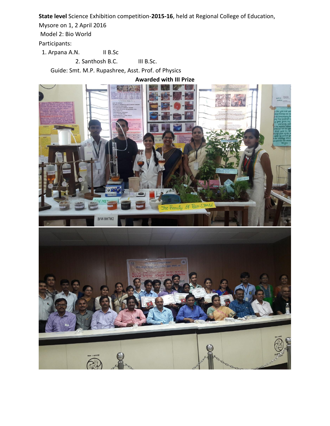**State level** Science Exhibition competition-**2015-16**, held at Regional College of Education,

Mysore on 1, 2 April 2016

Model 2: Bio World

Participants:

1. Arpana A.N. II B.Sc

2. Santhosh B.C. **III B.Sc.** 

Guide: Smt. M.P. Rupashree, Asst. Prof. of Physics

**Awarded with III Prize**

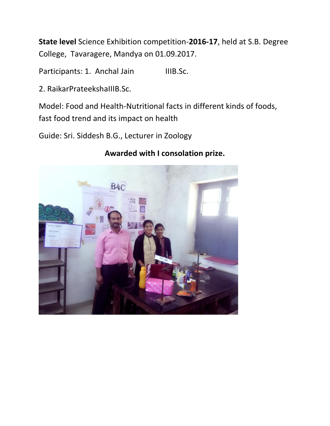**State level** Science Exhibition competition-**2016-17**, held at S.B. Degree College, Tavaragere, Mandya on 01.09.2017.

Participants: 1. Anchal Jain IIIB.Sc.

2. RaikarPrateekshaIIIB.Sc.

Model: Food and Health-Nutritional facts in different kinds of foods, fast food trend and its impact on health

Guide: Sri. Siddesh B.G., Lecturer in Zoology

# B<sub>4C</sub>

# **Awarded with I consolation prize.**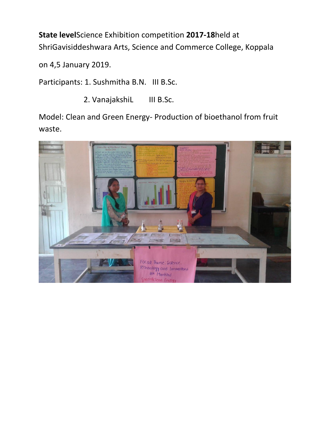**State level**Science Exhibition competition **2017-18**held at ShriGavisiddeshwara Arts, Science and Commerce College, Koppala

on 4,5 January 2019.

Participants: 1. Sushmitha B.N. III B.Sc.

2. VanajakshiL III B.Sc.

Model: Clean and Green Energy- Production of bioethanol from fruit waste.

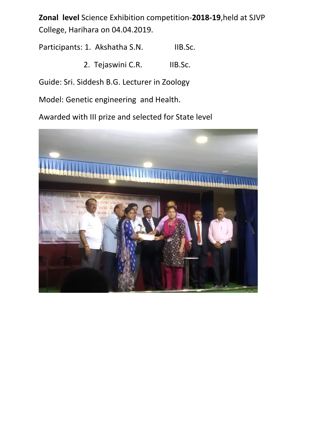**Zonal level** Science Exhibition competition-**2018-19**,held at SJVP College, Harihara on 04.04.2019.

Participants: 1. Akshatha S.N. IIB.Sc.

2. Tejaswini C.R. IIB.Sc.

Guide: Sri. Siddesh B.G. Lecturer in Zoology

Model: Genetic engineering and Health.

Awarded with III prize and selected for State level